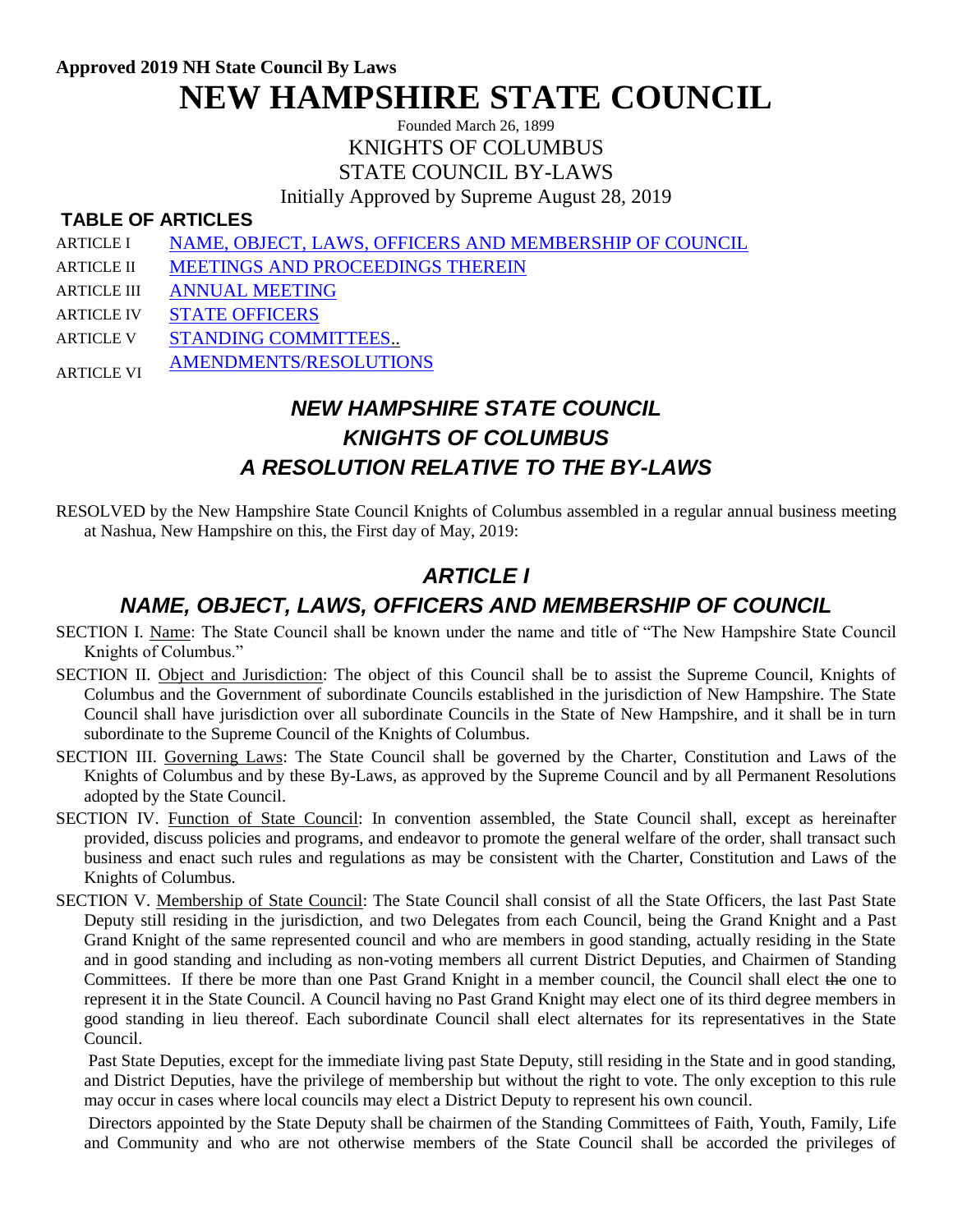**Approved 2019 NH State Council By Laws NEW HAMPSHIRE STATE COUNCIL**

> Founded March 26, 1899 KNIGHTS OF COLUMBUS STATE COUNCIL BY-LAWS

Initially Approved by Supreme August 28, 2019

#### **TABLE OF ARTICLES**

- ARTICLE I [NAME, OBJECT, LAWS, OFFICERS AND MEMBERSHIP OF COUNCIL](file:///C:/Users/Greg/AppData/Local/Microsoft/Windows/INetCache/Content.Outlook/AppData/Local/Microsoft/Windows/INetCache/Content.Outlook/PKF7CN58/StateByLaws.htm%23A1%23A1)
- ARTICLE II [MEETINGS AND PROCEEDINGS THEREIN](file:///C:/Users/Greg/AppData/Local/Microsoft/Windows/INetCache/Content.Outlook/AppData/Local/Microsoft/Windows/INetCache/Content.Outlook/PKF7CN58/StateByLaws.htm%23A2%23A2)
- ARTICLE III [ANNUAL MEETING](file:///C:/Users/Greg/AppData/Local/Microsoft/Windows/INetCache/Content.Outlook/AppData/Local/Microsoft/Windows/INetCache/Content.Outlook/PKF7CN58/StateByLaws.htm%23A3%23A3)
- ARTICLE IV [STATE OFFICERS](file:///C:/Users/Greg/AppData/Local/Microsoft/Windows/INetCache/Content.Outlook/AppData/Local/Microsoft/Windows/INetCache/Content.Outlook/PKF7CN58/StateByLaws.htm%23A4%23A4)
- ARTICLE V [STANDING COMMITTEES..](file:///C:/Users/Greg/AppData/Local/Microsoft/Windows/INetCache/Content.Outlook/AppData/Local/Microsoft/Windows/INetCache/Content.Outlook/PKF7CN58/StateByLaws.htm%23A5%23A5)
- ARTICLE VI [AMENDMENTS/RESOLUTIONS](file:///C:/Users/Greg/AppData/Local/Microsoft/Windows/INetCache/Content.Outlook/AppData/Local/Microsoft/Windows/INetCache/Content.Outlook/PKF7CN58/StateByLaws.htm%23A6%23A6)

# *NEW HAMPSHIRE STATE COUNCIL KNIGHTS OF COLUMBUS A RESOLUTION RELATIVE TO THE BY-LAWS*

RESOLVED by the New Hampshire State Council Knights of Columbus assembled in a regular annual business meeting at Nashua, New Hampshire on this, the First day of May, 2019:

## *ARTICLE I*

#### *NAME, OBJECT, LAWS, OFFICERS AND MEMBERSHIP OF COUNCIL*

- SECTION I. Name: The State Council shall be known under the name and title of "The New Hampshire State Council Knights of Columbus."
- SECTION II. Object and Jurisdiction: The object of this Council shall be to assist the Supreme Council, Knights of Columbus and the Government of subordinate Councils established in the jurisdiction of New Hampshire. The State Council shall have jurisdiction over all subordinate Councils in the State of New Hampshire, and it shall be in turn subordinate to the Supreme Council of the Knights of Columbus.
- SECTION III. Governing Laws: The State Council shall be governed by the Charter, Constitution and Laws of the Knights of Columbus and by these By-Laws, as approved by the Supreme Council and by all Permanent Resolutions adopted by the State Council.
- SECTION IV. Function of State Council: In convention assembled, the State Council shall, except as hereinafter provided, discuss policies and programs, and endeavor to promote the general welfare of the order, shall transact such business and enact such rules and regulations as may be consistent with the Charter, Constitution and Laws of the Knights of Columbus.
- SECTION V. Membership of State Council: The State Council shall consist of all the State Officers, the last Past State Deputy still residing in the jurisdiction, and two Delegates from each Council, being the Grand Knight and a Past Grand Knight of the same represented council and who are members in good standing, actually residing in the State and in good standing and including as non-voting members all current District Deputies, and Chairmen of Standing Committees. If there be more than one Past Grand Knight in a member council, the Council shall elect the one to represent it in the State Council. A Council having no Past Grand Knight may elect one of its third degree members in good standing in lieu thereof. Each subordinate Council shall elect alternates for its representatives in the State Council.

Past State Deputies, except for the immediate living past State Deputy, still residing in the State and in good standing, and District Deputies, have the privilege of membership but without the right to vote. The only exception to this rule may occur in cases where local councils may elect a District Deputy to represent his own council.

Directors appointed by the State Deputy shall be chairmen of the Standing Committees of Faith, Youth, Family, Life and Community and who are not otherwise members of the State Council shall be accorded the privileges of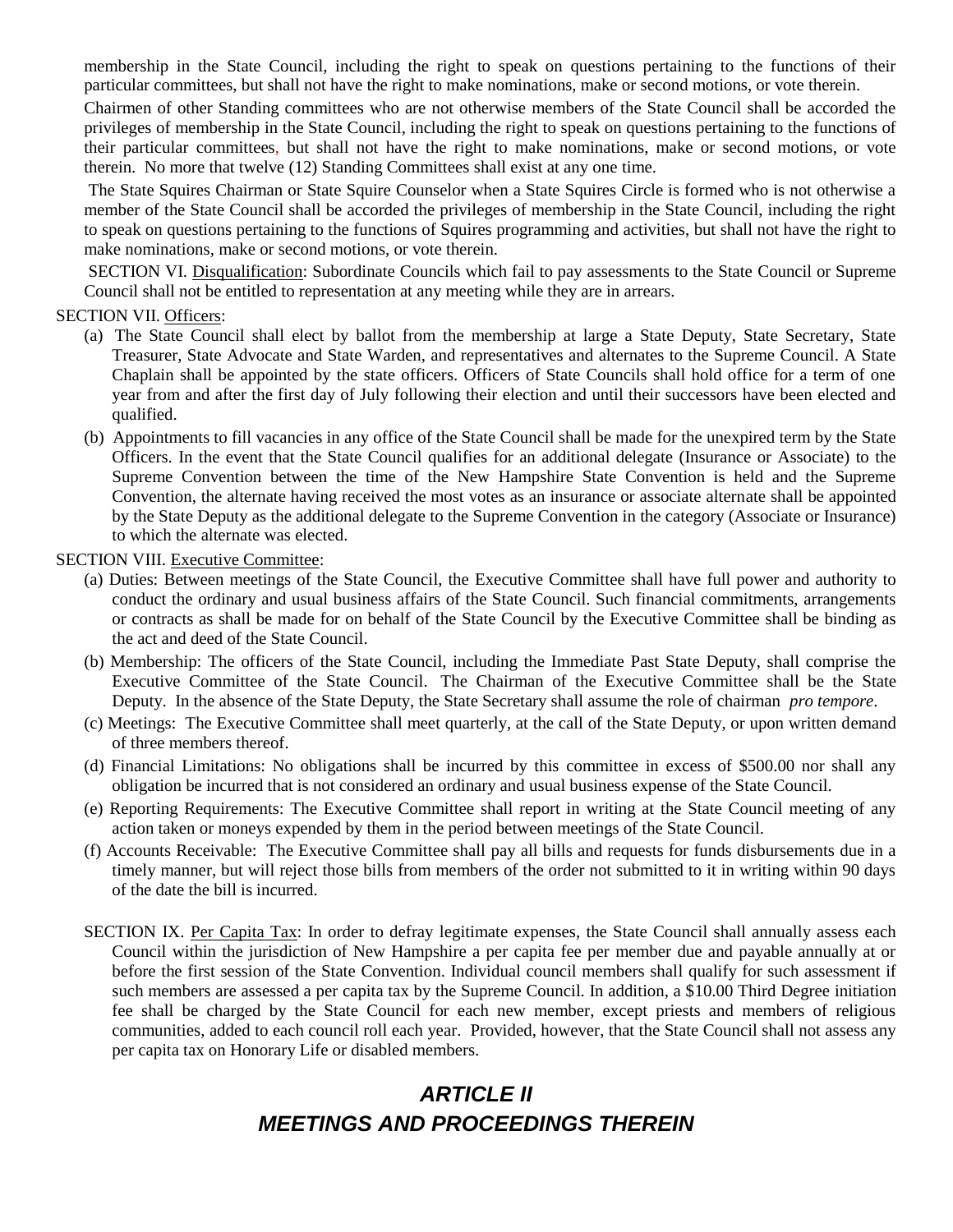membership in the State Council, including the right to speak on questions pertaining to the functions of their particular committees, but shall not have the right to make nominations, make or second motions, or vote therein.

Chairmen of other Standing committees who are not otherwise members of the State Council shall be accorded the privileges of membership in the State Council, including the right to speak on questions pertaining to the functions of their particular committees, but shall not have the right to make nominations, make or second motions, or vote therein. No more that twelve (12) Standing Committees shall exist at any one time.

The State Squires Chairman or State Squire Counselor when a State Squires Circle is formed who is not otherwise a member of the State Council shall be accorded the privileges of membership in the State Council, including the right to speak on questions pertaining to the functions of Squires programming and activities, but shall not have the right to make nominations, make or second motions, or vote therein.

SECTION VI. Disqualification: Subordinate Councils which fail to pay assessments to the State Council or Supreme Council shall not be entitled to representation at any meeting while they are in arrears.

#### SECTION VII. Officers:

- (a) The State Council shall elect by ballot from the membership at large a State Deputy, State Secretary, State Treasurer, State Advocate and State Warden, and representatives and alternates to the Supreme Council. A State Chaplain shall be appointed by the state officers. Officers of State Councils shall hold office for a term of one year from and after the first day of July following their election and until their successors have been elected and qualified.
- (b) Appointments to fill vacancies in any office of the State Council shall be made for the unexpired term by the State Officers. In the event that the State Council qualifies for an additional delegate (Insurance or Associate) to the Supreme Convention between the time of the New Hampshire State Convention is held and the Supreme Convention, the alternate having received the most votes as an insurance or associate alternate shall be appointed by the State Deputy as the additional delegate to the Supreme Convention in the category (Associate or Insurance) to which the alternate was elected.

#### SECTION VIII. Executive Committee:

- (a) Duties: Between meetings of the State Council, the Executive Committee shall have full power and authority to conduct the ordinary and usual business affairs of the State Council. Such financial commitments, arrangements or contracts as shall be made for on behalf of the State Council by the Executive Committee shall be binding as the act and deed of the State Council.
- (b) Membership: The officers of the State Council, including the Immediate Past State Deputy, shall comprise the Executive Committee of the State Council. The Chairman of the Executive Committee shall be the State Deputy. In the absence of the State Deputy, the State Secretary shall assume the role of chairman *pro tempore*.
- (c) Meetings: The Executive Committee shall meet quarterly, at the call of the State Deputy, or upon written demand of three members thereof.
- (d) Financial Limitations: No obligations shall be incurred by this committee in excess of \$500.00 nor shall any obligation be incurred that is not considered an ordinary and usual business expense of the State Council.
- (e) Reporting Requirements: The Executive Committee shall report in writing at the State Council meeting of any action taken or moneys expended by them in the period between meetings of the State Council.
- (f) Accounts Receivable: The Executive Committee shall pay all bills and requests for funds disbursements due in a timely manner, but will reject those bills from members of the order not submitted to it in writing within 90 days of the date the bill is incurred.
- SECTION IX. Per Capita Tax: In order to defray legitimate expenses, the State Council shall annually assess each Council within the jurisdiction of New Hampshire a per capita fee per member due and payable annually at or before the first session of the State Convention. Individual council members shall qualify for such assessment if such members are assessed a per capita tax by the Supreme Council. In addition, a \$10.00 Third Degree initiation fee shall be charged by the State Council for each new member, except priests and members of religious communities, added to each council roll each year. Provided, however, that the State Council shall not assess any per capita tax on Honorary Life or disabled members.

## *ARTICLE II MEETINGS AND PROCEEDINGS THEREIN*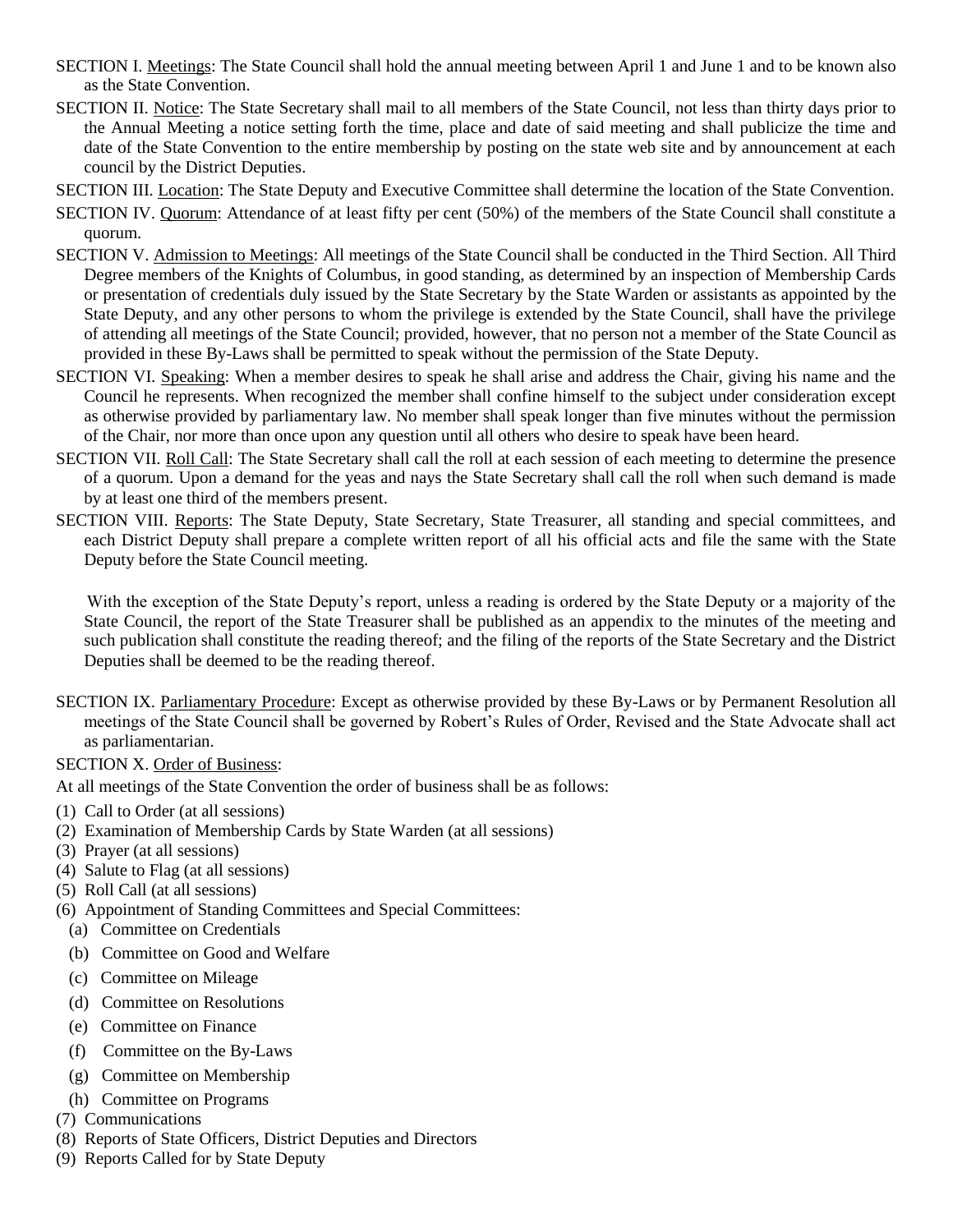- SECTION I. Meetings: The State Council shall hold the annual meeting between April 1 and June 1 and to be known also as the State Convention.
- SECTION II. Notice: The State Secretary shall mail to all members of the State Council, not less than thirty days prior to the Annual Meeting a notice setting forth the time, place and date of said meeting and shall publicize the time and date of the State Convention to the entire membership by posting on the state web site and by announcement at each council by the District Deputies.
- SECTION III. Location: The State Deputy and Executive Committee shall determine the location of the State Convention.
- SECTION IV. Quorum: Attendance of at least fifty per cent (50%) of the members of the State Council shall constitute a quorum.
- SECTION V. Admission to Meetings: All meetings of the State Council shall be conducted in the Third Section. All Third Degree members of the Knights of Columbus, in good standing, as determined by an inspection of Membership Cards or presentation of credentials duly issued by the State Secretary by the State Warden or assistants as appointed by the State Deputy, and any other persons to whom the privilege is extended by the State Council, shall have the privilege of attending all meetings of the State Council; provided, however, that no person not a member of the State Council as provided in these By-Laws shall be permitted to speak without the permission of the State Deputy.
- SECTION VI. Speaking: When a member desires to speak he shall arise and address the Chair, giving his name and the Council he represents. When recognized the member shall confine himself to the subject under consideration except as otherwise provided by parliamentary law. No member shall speak longer than five minutes without the permission of the Chair, nor more than once upon any question until all others who desire to speak have been heard.
- SECTION VII. Roll Call: The State Secretary shall call the roll at each session of each meeting to determine the presence of a quorum. Upon a demand for the yeas and nays the State Secretary shall call the roll when such demand is made by at least one third of the members present.
- SECTION VIII. Reports: The State Deputy, State Secretary, State Treasurer, all standing and special committees, and each District Deputy shall prepare a complete written report of all his official acts and file the same with the State Deputy before the State Council meeting.

 With the exception of the State Deputy's report, unless a reading is ordered by the State Deputy or a majority of the State Council, the report of the State Treasurer shall be published as an appendix to the minutes of the meeting and such publication shall constitute the reading thereof; and the filing of the reports of the State Secretary and the District Deputies shall be deemed to be the reading thereof.

- SECTION IX. Parliamentary Procedure: Except as otherwise provided by these By-Laws or by Permanent Resolution all meetings of the State Council shall be governed by Robert's Rules of Order, Revised and the State Advocate shall act as parliamentarian.
- SECTION X. Order of Business:

At all meetings of the State Convention the order of business shall be as follows:

- (1) Call to Order (at all sessions)
- (2) Examination of Membership Cards by State Warden (at all sessions)
- (3) Prayer (at all sessions)
- (4) Salute to Flag (at all sessions)
- (5) Roll Call (at all sessions)
- (6) Appointment of Standing Committees and Special Committees:
	- (a) Committee on Credentials
	- (b) Committee on Good and Welfare
	- (c) Committee on Mileage
	- (d) Committee on Resolutions
	- (e) Committee on Finance
	- (f) Committee on the By-Laws
	- (g) Committee on Membership
	- (h) Committee on Programs
- (7) Communications
- (8) Reports of State Officers, District Deputies and Directors
- (9) Reports Called for by State Deputy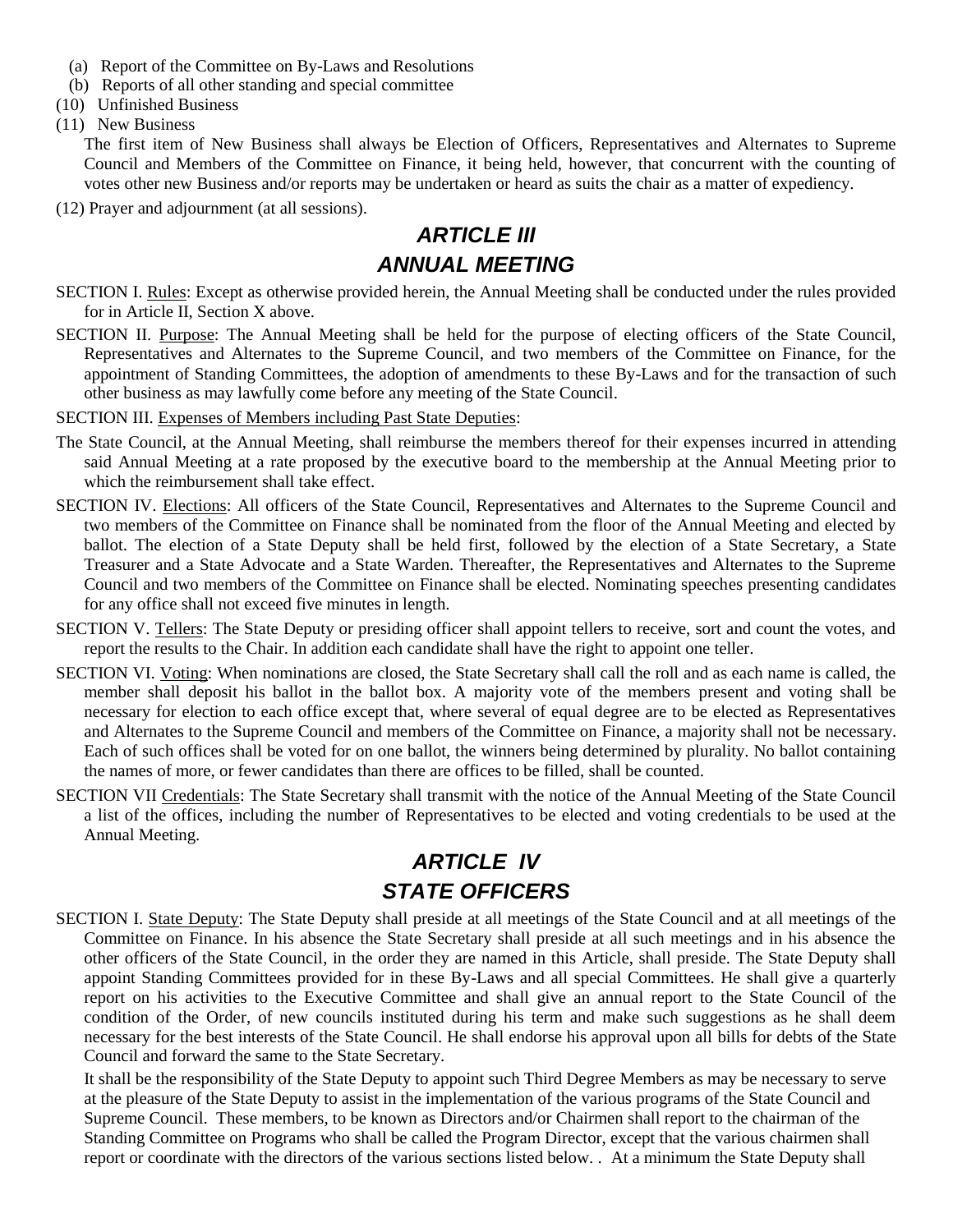- (a) Report of the Committee on By-Laws and Resolutions
- (b) Reports of all other standing and special committee
- (10) Unfinished Business
- (11) New Business

The first item of New Business shall always be Election of Officers, Representatives and Alternates to Supreme Council and Members of the Committee on Finance, it being held, however, that concurrent with the counting of votes other new Business and/or reports may be undertaken or heard as suits the chair as a matter of expediency.

(12) Prayer and adjournment (at all sessions).

#### *ARTICLE III ANNUAL MEETING*

- SECTION I. Rules: Except as otherwise provided herein, the Annual Meeting shall be conducted under the rules provided for in Article II, Section X above.
- SECTION II. Purpose: The Annual Meeting shall be held for the purpose of electing officers of the State Council, Representatives and Alternates to the Supreme Council, and two members of the Committee on Finance, for the appointment of Standing Committees, the adoption of amendments to these By-Laws and for the transaction of such other business as may lawfully come before any meeting of the State Council.
- SECTION III. Expenses of Members including Past State Deputies:
- The State Council, at the Annual Meeting, shall reimburse the members thereof for their expenses incurred in attending said Annual Meeting at a rate proposed by the executive board to the membership at the Annual Meeting prior to which the reimbursement shall take effect.
- SECTION IV. Elections: All officers of the State Council, Representatives and Alternates to the Supreme Council and two members of the Committee on Finance shall be nominated from the floor of the Annual Meeting and elected by ballot. The election of a State Deputy shall be held first, followed by the election of a State Secretary, a State Treasurer and a State Advocate and a State Warden. Thereafter, the Representatives and Alternates to the Supreme Council and two members of the Committee on Finance shall be elected. Nominating speeches presenting candidates for any office shall not exceed five minutes in length.
- SECTION V. Tellers: The State Deputy or presiding officer shall appoint tellers to receive, sort and count the votes, and report the results to the Chair. In addition each candidate shall have the right to appoint one teller.
- SECTION VI. Voting: When nominations are closed, the State Secretary shall call the roll and as each name is called, the member shall deposit his ballot in the ballot box. A majority vote of the members present and voting shall be necessary for election to each office except that, where several of equal degree are to be elected as Representatives and Alternates to the Supreme Council and members of the Committee on Finance, a majority shall not be necessary. Each of such offices shall be voted for on one ballot, the winners being determined by plurality. No ballot containing the names of more, or fewer candidates than there are offices to be filled, shall be counted.
- SECTION VII Credentials: The State Secretary shall transmit with the notice of the Annual Meeting of the State Council a list of the offices, including the number of Representatives to be elected and voting credentials to be used at the Annual Meeting.

# *ARTICLE IV STATE OFFICERS*

SECTION I. State Deputy: The State Deputy shall preside at all meetings of the State Council and at all meetings of the Committee on Finance. In his absence the State Secretary shall preside at all such meetings and in his absence the other officers of the State Council, in the order they are named in this Article, shall preside. The State Deputy shall appoint Standing Committees provided for in these By-Laws and all special Committees. He shall give a quarterly report on his activities to the Executive Committee and shall give an annual report to the State Council of the condition of the Order, of new councils instituted during his term and make such suggestions as he shall deem necessary for the best interests of the State Council. He shall endorse his approval upon all bills for debts of the State Council and forward the same to the State Secretary.

It shall be the responsibility of the State Deputy to appoint such Third Degree Members as may be necessary to serve at the pleasure of the State Deputy to assist in the implementation of the various programs of the State Council and Supreme Council. These members, to be known as Directors and/or Chairmen shall report to the chairman of the Standing Committee on Programs who shall be called the Program Director, except that the various chairmen shall report or coordinate with the directors of the various sections listed below. . At a minimum the State Deputy shall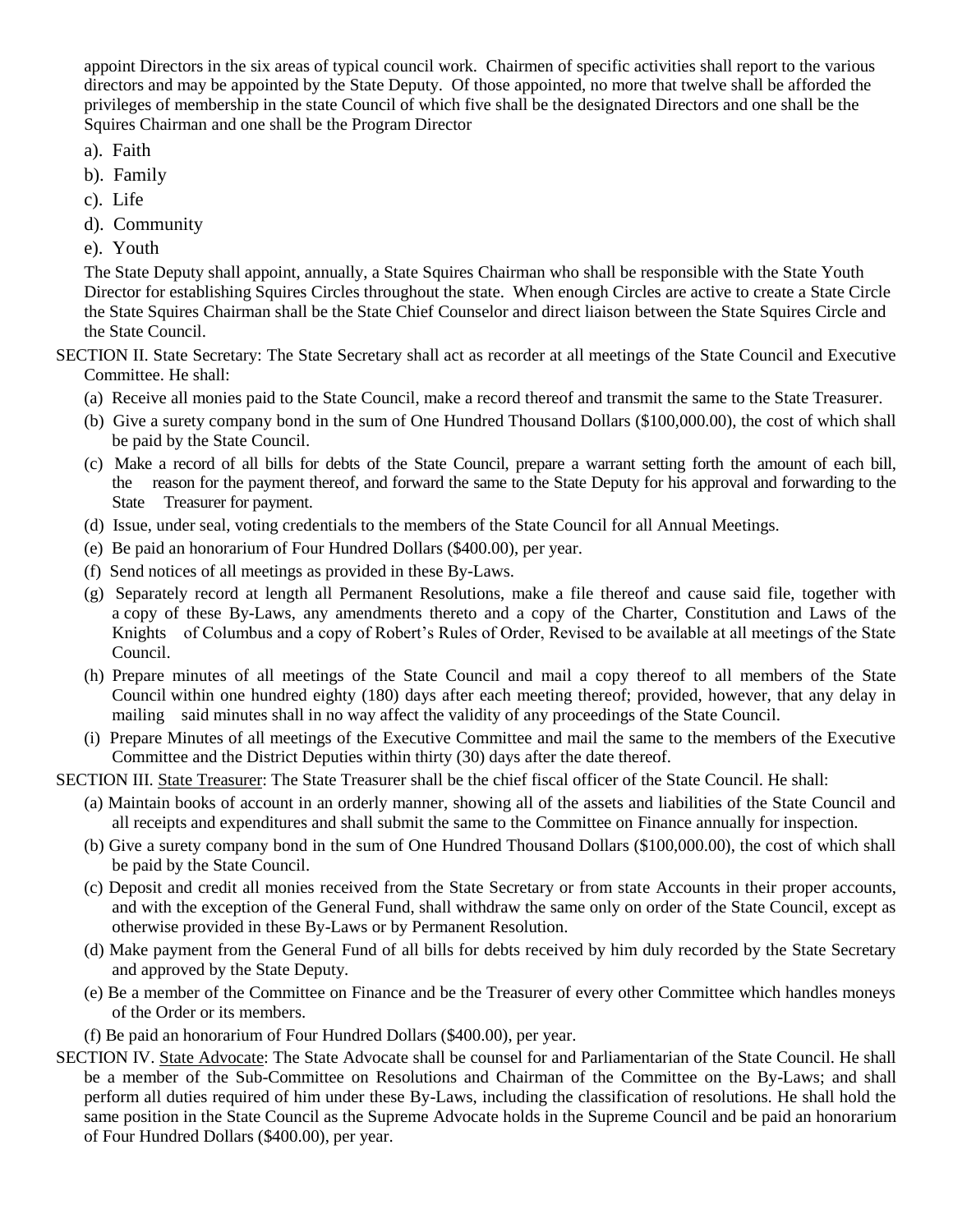appoint Directors in the six areas of typical council work. Chairmen of specific activities shall report to the various directors and may be appointed by the State Deputy. Of those appointed, no more that twelve shall be afforded the privileges of membership in the state Council of which five shall be the designated Directors and one shall be the Squires Chairman and one shall be the Program Director

- a). Faith
- b). Family
- c). Life
- d). Community
- e). Youth

The State Deputy shall appoint, annually, a State Squires Chairman who shall be responsible with the State Youth Director for establishing Squires Circles throughout the state. When enough Circles are active to create a State Circle the State Squires Chairman shall be the State Chief Counselor and direct liaison between the State Squires Circle and the State Council.

SECTION II. State Secretary: The State Secretary shall act as recorder at all meetings of the State Council and Executive Committee. He shall:

- (a) Receive all monies paid to the State Council, make a record thereof and transmit the same to the State Treasurer.
- (b) Give a surety company bond in the sum of One Hundred Thousand Dollars (\$100,000.00), the cost of which shall be paid by the State Council.
- (c) Make a record of all bills for debts of the State Council, prepare a warrant setting forth the amount of each bill, the reason for the payment thereof, and forward the same to the State Deputy for his approval and forwarding to the State Treasurer for payment.
- (d) Issue, under seal, voting credentials to the members of the State Council for all Annual Meetings.
- (e) Be paid an honorarium of Four Hundred Dollars (\$400.00), per year.
- (f) Send notices of all meetings as provided in these By-Laws.
- (g) Separately record at length all Permanent Resolutions, make a file thereof and cause said file, together with a copy of these By-Laws, any amendments thereto and a copy of the Charter, Constitution and Laws of the Knights of Columbus and a copy of Robert's Rules of Order, Revised to be available at all meetings of the State Council.
- (h) Prepare minutes of all meetings of the State Council and mail a copy thereof to all members of the State Council within one hundred eighty (180) days after each meeting thereof; provided, however, that any delay in mailing said minutes shall in no way affect the validity of any proceedings of the State Council.
- (i) Prepare Minutes of all meetings of the Executive Committee and mail the same to the members of the Executive Committee and the District Deputies within thirty (30) days after the date thereof.

SECTION III. State Treasurer: The State Treasurer shall be the chief fiscal officer of the State Council. He shall:

- (a) Maintain books of account in an orderly manner, showing all of the assets and liabilities of the State Council and all receipts and expenditures and shall submit the same to the Committee on Finance annually for inspection.
- (b) Give a surety company bond in the sum of One Hundred Thousand Dollars (\$100,000.00), the cost of which shall be paid by the State Council.
- (c) Deposit and credit all monies received from the State Secretary or from state Accounts in their proper accounts, and with the exception of the General Fund, shall withdraw the same only on order of the State Council, except as otherwise provided in these By-Laws or by Permanent Resolution.
- (d) Make payment from the General Fund of all bills for debts received by him duly recorded by the State Secretary and approved by the State Deputy.
- (e) Be a member of the Committee on Finance and be the Treasurer of every other Committee which handles moneys of the Order or its members.
- (f) Be paid an honorarium of Four Hundred Dollars (\$400.00), per year.
- SECTION IV. State Advocate: The State Advocate shall be counsel for and Parliamentarian of the State Council. He shall be a member of the Sub-Committee on Resolutions and Chairman of the Committee on the By-Laws; and shall perform all duties required of him under these By-Laws, including the classification of resolutions. He shall hold the same position in the State Council as the Supreme Advocate holds in the Supreme Council and be paid an honorarium of Four Hundred Dollars (\$400.00), per year.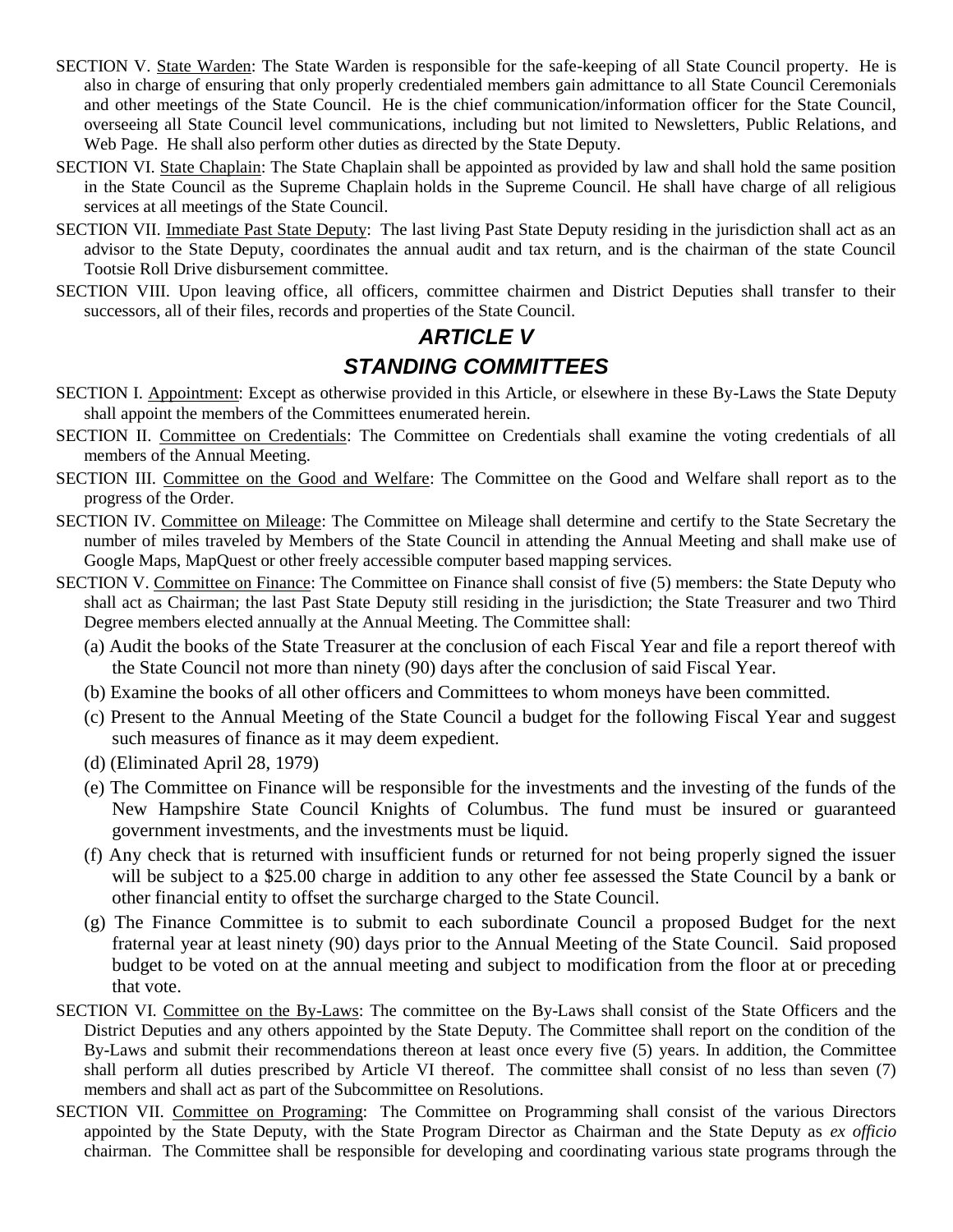- SECTION V. State Warden: The State Warden is responsible for the safe-keeping of all State Council property. He is also in charge of ensuring that only properly credentialed members gain admittance to all State Council Ceremonials and other meetings of the State Council. He is the chief communication/information officer for the State Council, overseeing all State Council level communications, including but not limited to Newsletters, Public Relations, and Web Page. He shall also perform other duties as directed by the State Deputy.
- SECTION VI. State Chaplain: The State Chaplain shall be appointed as provided by law and shall hold the same position in the State Council as the Supreme Chaplain holds in the Supreme Council. He shall have charge of all religious services at all meetings of the State Council.
- SECTION VII. Immediate Past State Deputy: The last living Past State Deputy residing in the jurisdiction shall act as an advisor to the State Deputy, coordinates the annual audit and tax return, and is the chairman of the state Council Tootsie Roll Drive disbursement committee.
- SECTION VIII. Upon leaving office, all officers, committee chairmen and District Deputies shall transfer to their successors, all of their files, records and properties of the State Council.

## *ARTICLE V STANDING COMMITTEES*

- SECTION I. Appointment: Except as otherwise provided in this Article, or elsewhere in these By-Laws the State Deputy shall appoint the members of the Committees enumerated herein.
- SECTION II. Committee on Credentials: The Committee on Credentials shall examine the voting credentials of all members of the Annual Meeting.
- SECTION III. Committee on the Good and Welfare: The Committee on the Good and Welfare shall report as to the progress of the Order.
- SECTION IV. Committee on Mileage: The Committee on Mileage shall determine and certify to the State Secretary the number of miles traveled by Members of the State Council in attending the Annual Meeting and shall make use of Google Maps, MapQuest or other freely accessible computer based mapping services.
- SECTION V. Committee on Finance: The Committee on Finance shall consist of five (5) members: the State Deputy who shall act as Chairman; the last Past State Deputy still residing in the jurisdiction; the State Treasurer and two Third Degree members elected annually at the Annual Meeting. The Committee shall:
	- (a) Audit the books of the State Treasurer at the conclusion of each Fiscal Year and file a report thereof with the State Council not more than ninety (90) days after the conclusion of said Fiscal Year.
	- (b) Examine the books of all other officers and Committees to whom moneys have been committed.
	- (c) Present to the Annual Meeting of the State Council a budget for the following Fiscal Year and suggest such measures of finance as it may deem expedient.
	- (d) (Eliminated April 28, 1979)
	- (e) The Committee on Finance will be responsible for the investments and the investing of the funds of the New Hampshire State Council Knights of Columbus. The fund must be insured or guaranteed government investments, and the investments must be liquid.
	- (f) Any check that is returned with insufficient funds or returned for not being properly signed the issuer will be subject to a \$25.00 charge in addition to any other fee assessed the State Council by a bank or other financial entity to offset the surcharge charged to the State Council.
	- (g) The Finance Committee is to submit to each subordinate Council a proposed Budget for the next fraternal year at least ninety (90) days prior to the Annual Meeting of the State Council. Said proposed budget to be voted on at the annual meeting and subject to modification from the floor at or preceding that vote.
- SECTION VI. Committee on the By-Laws: The committee on the By-Laws shall consist of the State Officers and the District Deputies and any others appointed by the State Deputy. The Committee shall report on the condition of the By-Laws and submit their recommendations thereon at least once every five (5) years. In addition, the Committee shall perform all duties prescribed by Article VI thereof. The committee shall consist of no less than seven (7) members and shall act as part of the Subcommittee on Resolutions.
- SECTION VII. Committee on Programing: The Committee on Programming shall consist of the various Directors appointed by the State Deputy, with the State Program Director as Chairman and the State Deputy as *ex officio* chairman. The Committee shall be responsible for developing and coordinating various state programs through the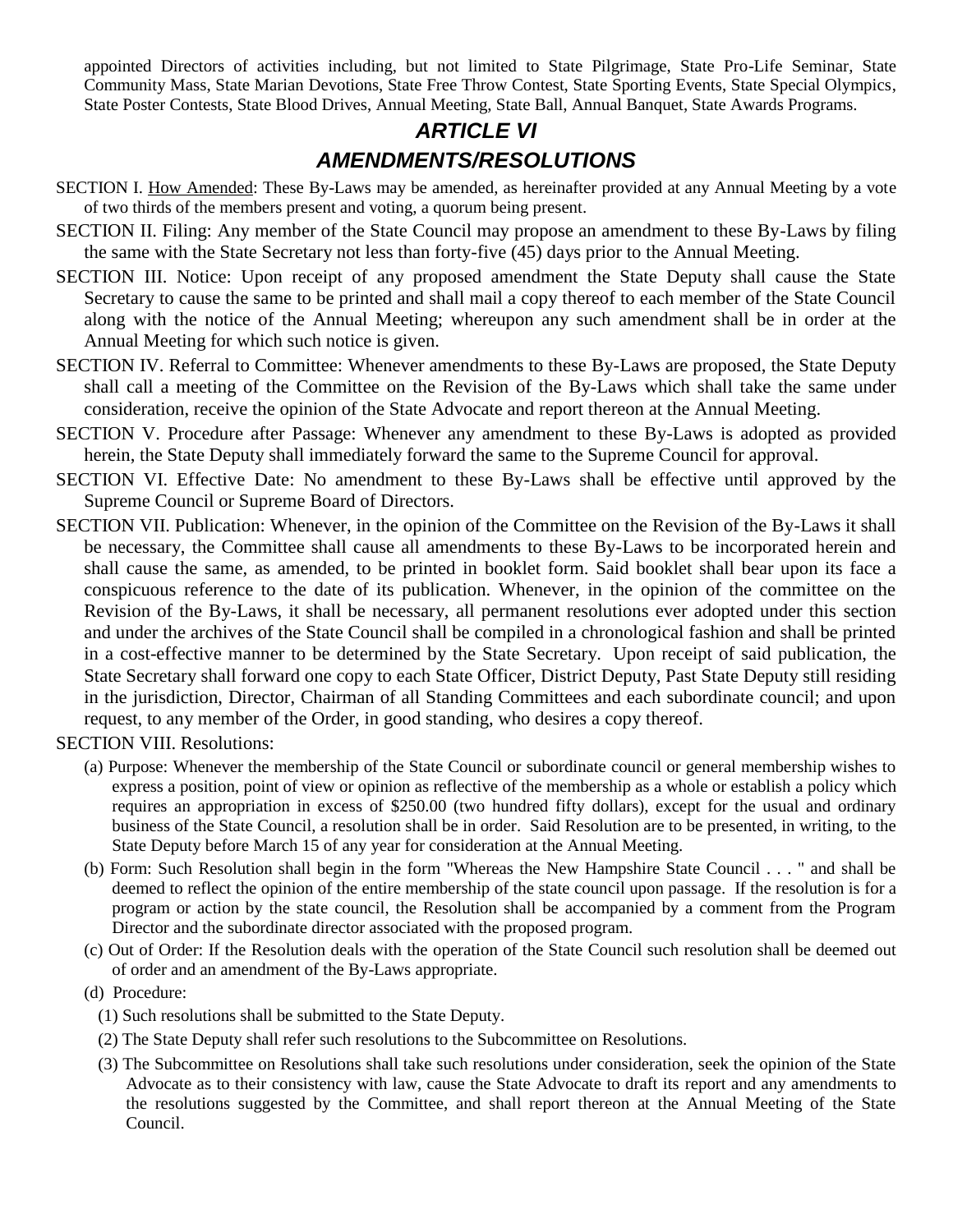appointed Directors of activities including, but not limited to State Pilgrimage, State Pro-Life Seminar, State Community Mass, State Marian Devotions, State Free Throw Contest, State Sporting Events, State Special Olympics, State Poster Contests, State Blood Drives, Annual Meeting, State Ball, Annual Banquet, State Awards Programs.

### *ARTICLE VI AMENDMENTS/RESOLUTIONS*

- SECTION I. How Amended: These By-Laws may be amended, as hereinafter provided at any Annual Meeting by a vote of two thirds of the members present and voting, a quorum being present.
- SECTION II. Filing: Any member of the State Council may propose an amendment to these By-Laws by filing the same with the State Secretary not less than forty-five (45) days prior to the Annual Meeting.
- SECTION III. Notice: Upon receipt of any proposed amendment the State Deputy shall cause the State Secretary to cause the same to be printed and shall mail a copy thereof to each member of the State Council along with the notice of the Annual Meeting; whereupon any such amendment shall be in order at the Annual Meeting for which such notice is given.
- SECTION IV. Referral to Committee: Whenever amendments to these By-Laws are proposed, the State Deputy shall call a meeting of the Committee on the Revision of the By-Laws which shall take the same under consideration, receive the opinion of the State Advocate and report thereon at the Annual Meeting.
- SECTION V. Procedure after Passage: Whenever any amendment to these By-Laws is adopted as provided herein, the State Deputy shall immediately forward the same to the Supreme Council for approval.
- SECTION VI. Effective Date: No amendment to these By-Laws shall be effective until approved by the Supreme Council or Supreme Board of Directors.
- SECTION VII. Publication: Whenever, in the opinion of the Committee on the Revision of the By-Laws it shall be necessary, the Committee shall cause all amendments to these By-Laws to be incorporated herein and shall cause the same, as amended, to be printed in booklet form. Said booklet shall bear upon its face a conspicuous reference to the date of its publication. Whenever, in the opinion of the committee on the Revision of the By-Laws, it shall be necessary, all permanent resolutions ever adopted under this section and under the archives of the State Council shall be compiled in a chronological fashion and shall be printed in a cost-effective manner to be determined by the State Secretary. Upon receipt of said publication, the State Secretary shall forward one copy to each State Officer, District Deputy, Past State Deputy still residing in the jurisdiction, Director, Chairman of all Standing Committees and each subordinate council; and upon request, to any member of the Order, in good standing, who desires a copy thereof.

SECTION VIII. Resolutions:

- (a) Purpose: Whenever the membership of the State Council or subordinate council or general membership wishes to express a position, point of view or opinion as reflective of the membership as a whole or establish a policy which requires an appropriation in excess of \$250.00 (two hundred fifty dollars), except for the usual and ordinary business of the State Council, a resolution shall be in order. Said Resolution are to be presented, in writing, to the State Deputy before March 15 of any year for consideration at the Annual Meeting.
- (b) Form: Such Resolution shall begin in the form "Whereas the New Hampshire State Council . . . " and shall be deemed to reflect the opinion of the entire membership of the state council upon passage. If the resolution is for a program or action by the state council, the Resolution shall be accompanied by a comment from the Program Director and the subordinate director associated with the proposed program.
- (c) Out of Order: If the Resolution deals with the operation of the State Council such resolution shall be deemed out of order and an amendment of the By-Laws appropriate.

(d) Procedure:

- (1) Such resolutions shall be submitted to the State Deputy.
- (2) The State Deputy shall refer such resolutions to the Subcommittee on Resolutions.
- (3) The Subcommittee on Resolutions shall take such resolutions under consideration, seek the opinion of the State Advocate as to their consistency with law, cause the State Advocate to draft its report and any amendments to the resolutions suggested by the Committee, and shall report thereon at the Annual Meeting of the State Council.